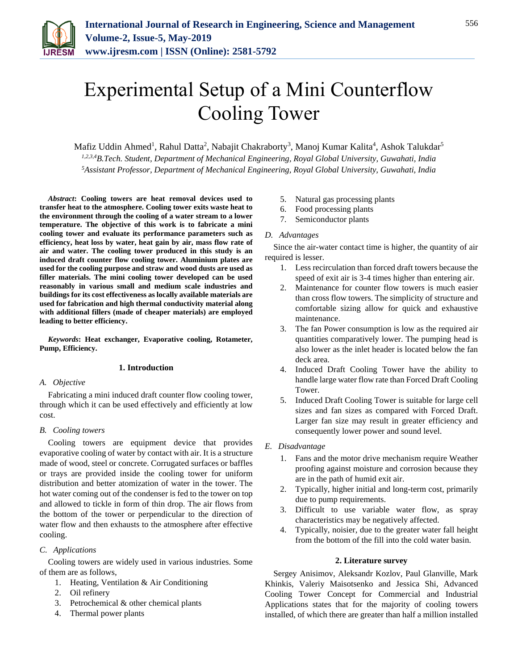

# Experimental Setup of a Mini Counterflow Cooling Tower

Mafiz Uddin Ahmed<sup>1</sup>, Rahul Datta<sup>2</sup>, Nabajit Chakraborty<sup>3</sup>, Manoj Kumar Kalita<sup>4</sup>, Ashok Talukdar<sup>5</sup> *1,2,3,4B.Tech. Student, Department of Mechanical Engineering, Royal Global University, Guwahati, India 5Assistant Professor, Department of Mechanical Engineering, Royal Global University, Guwahati, India*

*Abstract***: Cooling towers are heat removal devices used to transfer heat to the atmosphere. Cooling tower exits waste heat to the environment through the cooling of a water stream to a lower temperature. The objective of this work is to fabricate a mini cooling tower and evaluate its performance parameters such as efficiency, heat loss by water, heat gain by air, mass flow rate of air and water. The cooling tower produced in this study is an induced draft counter flow cooling tower. Aluminium plates are used for the cooling purpose and straw and wood dusts are used as filler materials. The mini cooling tower developed can be used reasonably in various small and medium scale industries and buildings for its cost effectiveness as locally available materials are used for fabrication and high thermal conductivity material along with additional fillers (made of cheaper materials) are employed leading to better efficiency.**

*Keywords***: Heat exchanger, Evaporative cooling, Rotameter, Pump, Efficiency.**

## **1. Introduction**

## *A. Objective*

Fabricating a mini induced draft counter flow cooling tower, through which it can be used effectively and efficiently at low cost.

# *B. Cooling towers*

Cooling towers are equipment device that provides evaporative cooling of water by contact with air. It is a structure made of wood, steel or concrete. Corrugated surfaces or baffles or trays are provided inside the cooling tower for uniform distribution and better atomization of water in the tower. The hot water coming out of the condenser is fed to the tower on top and allowed to tickle in form of thin drop. The air flows from the bottom of the tower or perpendicular to the direction of water flow and then exhausts to the atmosphere after effective cooling.

# *C. Applications*

Cooling towers are widely used in various industries. Some of them are as follows,

- 1. Heating, Ventilation & Air Conditioning
- 2. Oil refinery
- 3. Petrochemical & other chemical plants
- 4. Thermal power plants
- 5. Natural gas processing plants
- 6. Food processing plants
- 7. Semiconductor plants

## *D. Advantages*

Since the air-water contact time is higher, the quantity of air required is lesser.

- 1. Less recirculation than forced draft towers because the speed of exit air is 3-4 times higher than entering air.
- 2. Maintenance for counter flow towers is much easier than cross flow towers. The simplicity of structure and comfortable sizing allow for quick and exhaustive maintenance.
- 3. The fan Power consumption is low as the required air quantities comparatively lower. The pumping head is also lower as the inlet header is located below the fan deck area.
- 4. Induced Draft Cooling Tower have the ability to handle large water flow rate than Forced Draft Cooling Tower.
- 5. Induced Draft Cooling Tower is suitable for large cell sizes and fan sizes as compared with Forced Draft. Larger fan size may result in greater efficiency and consequently lower power and sound level.
- *E. Disadvantage*
	- 1. Fans and the motor drive mechanism require Weather proofing against moisture and corrosion because they are in the path of humid exit air.
	- 2. Typically, higher initial and long-term cost, primarily due to pump requirements.
	- 3. Difficult to use variable water flow, as spray characteristics may be negatively affected.
	- 4. Typically, noisier, due to the greater water fall height from the bottom of the fill into the cold water basin.

## **2. Literature survey**

Sergey Anisimov, Aleksandr Kozlov, Paul Glanville, Mark Khinkis, Valeriy Maisotsenko and Jessica Shi, Advanced Cooling Tower Concept for Commercial and Industrial Applications states that for the majority of cooling towers installed, of which there are greater than half a million installed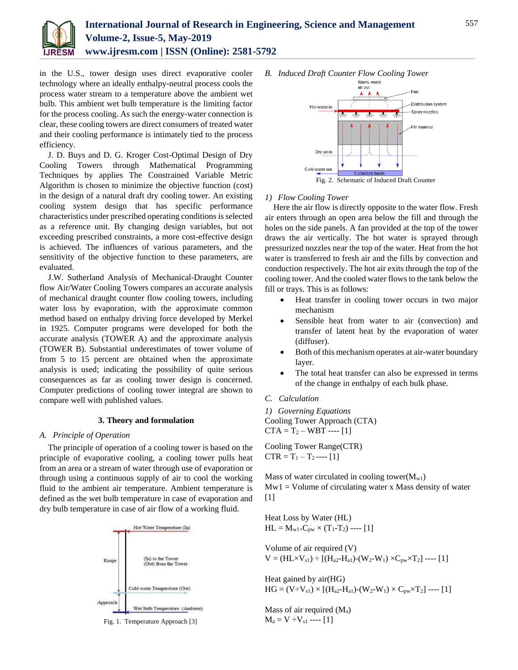

in the U.S., tower design uses direct evaporative cooler technology where an ideally enthalpy-neutral process cools the process water stream to a temperature above the ambient wet bulb. This ambient wet bulb temperature is the limiting factor for the process cooling. As such the energy-water connection is clear, these cooling towers are direct consumers of treated water and their cooling performance is intimately tied to the process efficiency.

J. D. Buys and D. G. Kroger Cost-Optimal Design of Dry Cooling Towers through Mathematical Programming Techniques by applies The Constrained Variable Metric Algorithm is chosen to minimize the objective function (cost) in the design of a natural draft dry cooling tower. An existing cooling system design that has specific performance characteristics under prescribed operating conditions is selected as a reference unit. By changing design variables, but not exceeding prescribed constraints, a more cost-effective design is achieved. The influences of various parameters, and the sensitivity of the objective function to these parameters, are evaluated.

J.W. Sutherland Analysis of Mechanical-Draught Counter flow Air/Water Cooling Towers compares an accurate analysis of mechanical draught counter flow cooling towers, including water loss by evaporation, with the approximate common method based on enthalpy driving force developed by Merkel in 1925. Computer programs were developed for both the accurate analysis (TOWER A) and the approximate analysis (TOWER B). Substantial underestimates of tower volume of from 5 to 15 percent are obtained when the approximate analysis is used; indicating the possibility of quite serious consequences as far as cooling tower design is concerned. Computer predictions of cooling tower integral are shown to compare well with published values.

# **3. Theory and formulation**

## *A. Principle of Operation*

The principle of operation of a cooling tower is based on the principle of evaporative cooling, a cooling tower pulls heat from an area or a stream of water through use of evaporation or through using a continuous supply of air to cool the working fluid to the ambient air temperature. Ambient temperature is defined as the wet bulb temperature in case of evaporation and dry bulb temperature in case of air flow of a working fluid.



Fig. 1. Temperature Approach [3]

*B. Induced Draft Counter Flow Cooling Tower*



## *1) Flow Cooling Tower*

Here the air flow is directly opposite to the water flow. Fresh air enters through an open area below the fill and through the holes on the side panels. A fan provided at the top of the tower draws the air vertically. The hot water is sprayed through pressurized nozzles near the top of the water. Heat from the hot water is transferred to fresh air and the fills by convection and conduction respectively. The hot air exits through the top of the cooling tower. And the cooled water flows to the tank below the fill or trays. This is as follows:

- Heat transfer in cooling tower occurs in two major mechanism
- Sensible heat from water to air (convection) and transfer of latent heat by the evaporation of water (diffuser).
- Both of this mechanism operates at air-water boundary layer.
- The total heat transfer can also be expressed in terms of the change in enthalpy of each bulk phase.
- *C. Calculation*
- *1) Governing Equations* Cooling Tower Approach (CTA)  $CTA = T_2 - WBT$  ---- [1]

Cooling Tower Range(CTR)  $CTR = T_1 - T_2 --- [1]$ 

Mass of water circulated in cooling tower( $M_{w1}$ )  $Mw1 = Volume of circulating water x Mass density of water$ [1]

Heat Loss by Water (HL)  $HL = M_{w1} \times C_{pw} \times (T_1 - T_2) \text{ --- } [1]$ 

Volume of air required (V)  $V = (HL \times V_{s1}) \div [(H_{a2} - H_{a1}) - (W_2 - W_1) \times C_{pw} \times T_2] \cdots [1]$ 

Heat gained by air(HG)  $HG = (V \div V_{s1}) \times [(H_{a2} - H_{a1}) - (W_{2} - W_{1}) \times C_{pw} \times T_{2}]$  ---- [1]

Mass of air required  $(M_a)$  $M_a = V - V_{s1}$  ---- [1]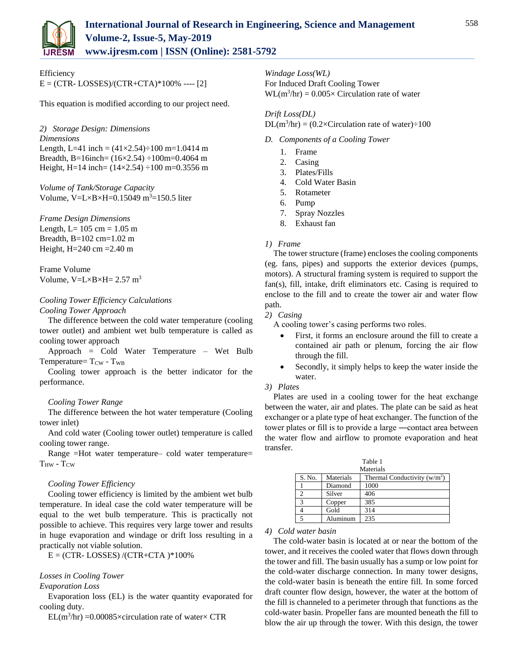

Efficiency  $E = (CTR - LOSSES)/(CTR + CTA) * 100%$  ---- [2]

This equation is modified according to our project need.

*2) Storage Design: Dimensions Dimensions* Length, L=41 inch =  $(41 \times 2.54) \div 100$  m=1.0414 m Breadth, B=16inch= (16×2.54) ÷100m=0.4064 m Height, H=14 inch=  $(14 \times 2.54) \div 100$  m=0.3556 m

*Volume of Tank/Storage Capacity* Volume,  $V=L\times B\times H=0.15049$  m<sup>3</sup>=150.5 liter

*Frame Design Dimensions*

Length, L=  $105 \text{ cm} = 1.05 \text{ m}$ Breadth, B=102 cm=1.02 m Height, H=240 cm =2.40 m

Frame Volume Volume,  $V=L\times B\times H= 2.57 \text{ m}^3$ 

# *Cooling Tower Efficiency Calculations*

*Cooling Tower Approach*

The difference between the cold water temperature (cooling tower outlet) and ambient wet bulb temperature is called as cooling tower approach

Approach = Cold Water Temperature – Wet Bulb Temperature=  $T_{\text{CW}}$  -  $T_{\text{WB}}$ 

Cooling tower approach is the better indicator for the performance.

# *Cooling Tower Range*

The difference between the hot water temperature (Cooling tower inlet)

And cold water (Cooling tower outlet) temperature is called cooling tower range.

Range =Hot water temperature– cold water temperature=  $T_{HW}$  -  $T_{CW}$ 

## *Cooling Tower Efficiency*

Cooling tower efficiency is limited by the ambient wet bulb temperature. In ideal case the cold water temperature will be equal to the wet bulb temperature. This is practically not possible to achieve. This requires very large tower and results in huge evaporation and windage or drift loss resulting in a practically not viable solution.

 $E = (CTR - LOSSES) / (CTR + CTA) * 100\%$ 

# *Losses in Cooling Tower*

## *Evaporation Loss*

Evaporation loss (EL) is the water quantity evaporated for cooling duty.

 $EL(m^3/hr) = 0.00085 \times$ circulation rate of water× CTR

*Windage Loss(WL)* For Induced Draft Cooling Tower  $WL(m^3/hr) = 0.005 \times Circulation$  rate of water

*Drift Loss(DL)*  $DL(m^3/hr) = (0.2 \times Circulation \text{ rate of water}) \div 100$ 

# *D. Components of a Cooling Tower*

- 1. Frame
- 2. Casing
- 3. Plates/Fills
- 4. Cold Water Basin
- 5. Rotameter
- 6. Pump
- 7. Spray Nozzles
- 8. Exhaust fan

## *1) Frame*

The tower structure (frame) encloses the cooling components (eg. fans, pipes) and supports the exterior devices (pumps, motors). A structural framing system is required to support the fan(s), fill, intake, drift eliminators etc. Casing is required to enclose to the fill and to create the tower air and water flow path.

## *2) Casing*

A cooling tower's casing performs two roles.

- First, it forms an enclosure around the fill to create a contained air path or plenum, forcing the air flow through the fill.
- Secondly, it simply helps to keep the water inside the water.

# *3) Plates*

Plates are used in a cooling tower for the heat exchange between the water, air and plates. The plate can be said as heat exchanger or a plate type of heat exchanger. The function of the tower plates or fill is to provide a large ―contact area between the water flow and airflow to promote evaporation and heat transfer.

| Table 1   |           |                                |  |  |  |  |  |  |
|-----------|-----------|--------------------------------|--|--|--|--|--|--|
| Materials |           |                                |  |  |  |  |  |  |
| S. No.    | Materials | Thermal Conductivity $(w/m^2)$ |  |  |  |  |  |  |
|           | Diamond   | 1000                           |  |  |  |  |  |  |
|           | Silver    | 406                            |  |  |  |  |  |  |
| 3         | Copper    | 385                            |  |  |  |  |  |  |
|           | Gold      | 314                            |  |  |  |  |  |  |
|           | Aluminum  | 235                            |  |  |  |  |  |  |

# *4) Cold water basin*

The cold-water basin is located at or near the bottom of the tower, and it receives the cooled water that flows down through the tower and fill. The basin usually has a sump or low point for the cold-water discharge connection. In many tower designs, the cold-water basin is beneath the entire fill. In some forced draft counter flow design, however, the water at the bottom of the fill is channeled to a perimeter through that functions as the cold-water basin. Propeller fans are mounted beneath the fill to blow the air up through the tower. With this design, the tower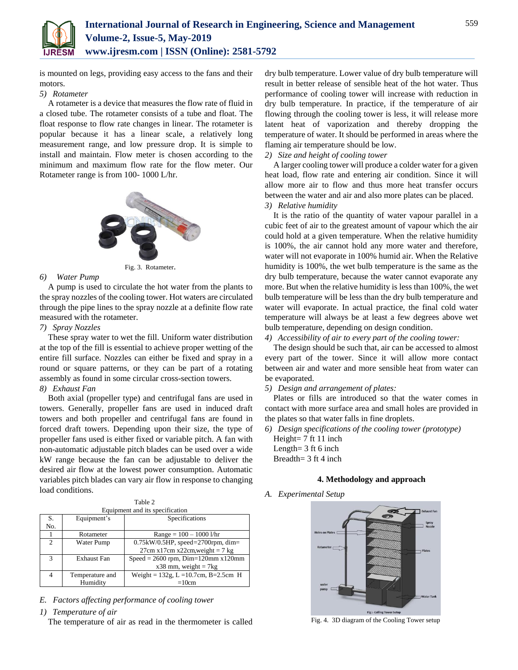

is mounted on legs, providing easy access to the fans and their motors.

## *5) Rotameter*

A rotameter is a device that measures the flow rate of fluid in a closed tube. The rotameter consists of a tube and float. The float response to flow rate changes in linear. The rotameter is popular because it has a linear scale, a relatively long measurement range, and low pressure drop. It is simple to install and maintain. Flow meter is chosen according to the minimum and maximum flow rate for the flow meter. Our Rotameter range is from 100- 1000 L/hr.



Fig. 3. Rotameter.

# *6) Water Pump*

A pump is used to circulate the hot water from the plants to the spray nozzles of the cooling tower. Hot waters are circulated through the pipe lines to the spray nozzle at a definite flow rate measured with the rotameter.

### *7) Spray Nozzles*

These spray water to wet the fill. Uniform water distribution at the top of the fill is essential to achieve proper wetting of the entire fill surface. Nozzles can either be fixed and spray in a round or square patterns, or they can be part of a rotating assembly as found in some circular cross-section towers.

# *8) Exhaust Fan*

Both axial (propeller type) and centrifugal fans are used in towers. Generally, propeller fans are used in induced draft towers and both propeller and centrifugal fans are found in forced draft towers. Depending upon their size, the type of propeller fans used is either fixed or variable pitch. A fan with non-automatic adjustable pitch blades can be used over a wide kW range because the fan can be adjustable to deliver the desired air flow at the lowest power consumption. Automatic variables pitch blades can vary air flow in response to changing load conditions.

| Equipment and its specification |                                        |                                            |  |  |  |  |  |
|---------------------------------|----------------------------------------|--------------------------------------------|--|--|--|--|--|
| S.                              | Equipment's                            | Specifications                             |  |  |  |  |  |
| No.                             |                                        |                                            |  |  |  |  |  |
|                                 | $Range = 100 - 1000$ l/hr<br>Rotameter |                                            |  |  |  |  |  |
| $\mathcal{D}_{\mathcal{L}}$     | Water Pump                             | $0.75$ kW/0.5HP, speed=2700rpm, dim=       |  |  |  |  |  |
|                                 |                                        | $27cm x17cm x22cm, weight = 7 kg$          |  |  |  |  |  |
| 3                               | Exhaust Fan                            | $Speed = 2600$ rpm, $Dim=120$ mm $x120$ mm |  |  |  |  |  |
|                                 |                                        | $x38$ mm, weight = 7 $kg$                  |  |  |  |  |  |
|                                 | Temperature and                        | Weight = $132g$ , L = 10.7cm, B=2.5cm H    |  |  |  |  |  |
|                                 | Humidity                               | $=10cm$                                    |  |  |  |  |  |

*E. Factors affecting performance of cooling tower*

*1) Temperature of air*

The temperature of air as read in the thermometer is called

dry bulb temperature. Lower value of dry bulb temperature will result in better release of sensible heat of the hot water. Thus performance of cooling tower will increase with reduction in dry bulb temperature. In practice, if the temperature of air flowing through the cooling tower is less, it will release more latent heat of vaporization and thereby dropping the temperature of water. It should be performed in areas where the flaming air temperature should be low.

## *2) Size and height of cooling tower*

A larger cooling tower will produce a colder water for a given heat load, flow rate and entering air condition. Since it will allow more air to flow and thus more heat transfer occurs between the water and air and also more plates can be placed. *3) Relative humidity*

It is the ratio of the quantity of water vapour parallel in a cubic feet of air to the greatest amount of vapour which the air could hold at a given temperature. When the relative humidity is 100%, the air cannot hold any more water and therefore, water will not evaporate in 100% humid air. When the Relative humidity is 100%, the wet bulb temperature is the same as the dry bulb temperature, because the water cannot evaporate any more. But when the relative humidity is less than 100%, the wet bulb temperature will be less than the dry bulb temperature and water will evaporate. In actual practice, the final cold water temperature will always be at least a few degrees above wet bulb temperature, depending on design condition.

### *4) Accessibility of air to every part of the cooling tower:*

The design should be such that, air can be accessed to almost every part of the tower. Since it will allow more contact between air and water and more sensible heat from water can be evaporated.

## *5) Design and arrangement of plates:*

Plates or fills are introduced so that the water comes in contact with more surface area and small holes are provided in the plates so that water falls in fine droplets.

*6) Design specifications of the cooling tower (prototype)*

Height= 7 ft 11 inch Length= 3 ft 6 inch Breadth= 3 ft 4 inch

# **4. Methodology and approach**

*A. Experimental Setup*



Fig. 4. 3D diagram of the Cooling Tower setup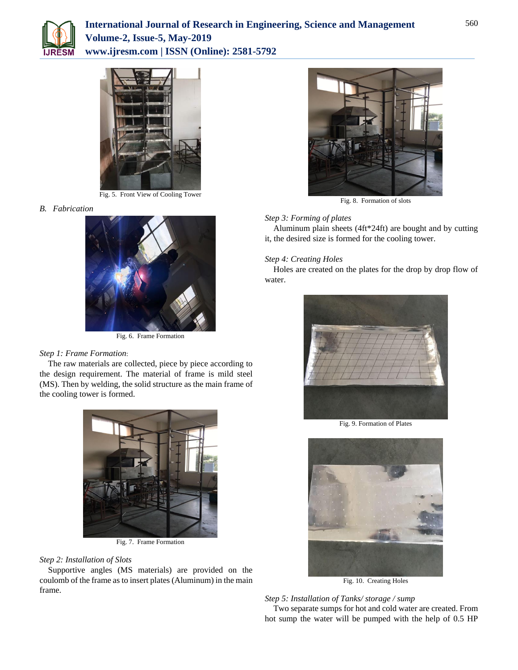



Fig. 5. Front View of Cooling Tower

# *B. Fabrication*



Fig. 6. Frame Formation

# *Step 1: Frame Formation*:

The raw materials are collected, piece by piece according to the design requirement. The material of frame is mild steel (MS). Then by welding, the solid structure as the main frame of the cooling tower is formed.



Fig. 7. Frame Formation

# *Step 2: Installation of Slots*

Supportive angles (MS materials) are provided on the coulomb of the frame as to insert plates (Aluminum) in the main frame.



Fig. 8. Formation of slots

# *Step 3: Forming of plates*

Aluminum plain sheets (4ft\*24ft) are bought and by cutting it, the desired size is formed for the cooling tower.

# *Step 4: Creating Holes*

Holes are created on the plates for the drop by drop flow of water.



Fig. 9. Formation of Plates



Fig. 10. Creating Holes

# *Step 5: Installation of Tanks/ storage / sump*

Two separate sumps for hot and cold water are created. From hot sump the water will be pumped with the help of 0.5 HP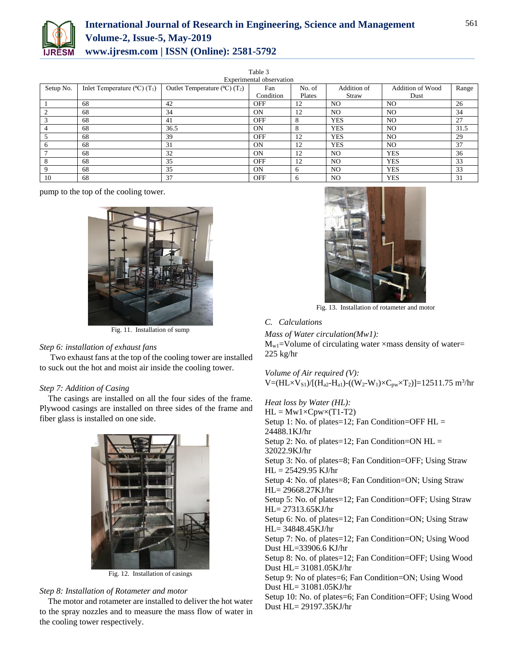

# **International Journal of Research in Engineering, Science and Management Volume-2, Issue-5, May-2019 www.ijresm.com | ISSN (Online): 2581-5792**

| Experimental observation |                                                     |                                                      |                |        |                |                         |       |  |  |  |
|--------------------------|-----------------------------------------------------|------------------------------------------------------|----------------|--------|----------------|-------------------------|-------|--|--|--|
| Setup No.                | Inlet Temperature ( $^{\circ}$ C) (T <sub>1</sub> ) | Outlet Temperature ( $^{\circ}$ C) (T <sub>2</sub> ) | Fan            | No. of | Addition of    | <b>Addition of Wood</b> | Range |  |  |  |
|                          |                                                     |                                                      | Condition      | Plates | Straw          | Dust                    |       |  |  |  |
|                          | 68                                                  | 42                                                   | <b>OFF</b>     | 12     | N <sub>O</sub> | NO.                     | 26    |  |  |  |
|                          | 68                                                  | 34                                                   | 0N             | 12     | N <sub>O</sub> | NO.                     | 34    |  |  |  |
|                          | 68                                                  | 41                                                   | <b>OFF</b>     | 8      | <b>YES</b>     | N <sub>O</sub>          | 27    |  |  |  |
|                          | 68                                                  | 36.5                                                 | 0N             | 8      | <b>YES</b>     | N <sub>O</sub>          | 31.5  |  |  |  |
|                          | 68                                                  | 39                                                   | <b>OFF</b>     | 12     | <b>YES</b>     | N <sub>O</sub>          | 29    |  |  |  |
|                          | 68                                                  | 31                                                   | 0 <sub>N</sub> | 12     | <b>YES</b>     | N <sub>O</sub>          | 37    |  |  |  |
|                          | 68                                                  | 32                                                   | 0N             | 12     | N <sub>O</sub> | <b>YES</b>              | 36    |  |  |  |
|                          | 68                                                  | 35                                                   | <b>OFF</b>     | 12     | N <sub>O</sub> | <b>YES</b>              | 33    |  |  |  |
|                          | 68                                                  | 35                                                   | 0N             | 6      | N <sub>O</sub> | <b>YES</b>              | 33    |  |  |  |
| 10                       | 68                                                  | 37                                                   | <b>OFF</b>     | 6      | N <sub>O</sub> | <b>YES</b>              | 31    |  |  |  |

Table 3

pump to the top of the cooling tower.



Fig. 11. Installation of sump

# *Step 6: installation of exhaust fans*

Two exhaust fans at the top of the cooling tower are installed to suck out the hot and moist air inside the cooling tower.

# *Step 7: Addition of Casing*

The casings are installed on all the four sides of the frame. Plywood casings are installed on three sides of the frame and fiber glass is installed on one side.



Fig. 12. Installation of casings

# *Step 8: Installation of Rotameter and motor*

The motor and rotameter are installed to deliver the hot water to the spray nozzles and to measure the mass flow of water in the cooling tower respectively.



Fig. 13. Installation of rotameter and motor

## *C. Calculations*

*Mass of Water circulation(Mw1):*

 $M_{w1}$ =Volume of circulating water ×mass density of water= 225 kg/hr

*Volume of Air required (V):*  $V = (HL \times V_{S1})/[(H_{a2} - H_{a1}) - ((W_2 - W_1) \times C_{pw} \times T_2)] = 12511.75 \text{ m}^3/\text{hr}$ 

*Heat loss by Water (HL):*  $HL = Mw1 \times Cpw \times (T1-T2)$ Setup 1: No. of plates=12; Fan Condition=OFF  $HL =$ 24488.1KJ/hr Setup 2: No. of plates=12; Fan Condition=ON HL = 32022.9KJ/hr Setup 3: No. of plates=8; Fan Condition=OFF; Using Straw  $HL = 25429.95$  KJ/hr Setup 4: No. of plates=8; Fan Condition=ON; Using Straw HL= 29668.27KJ/hr Setup 5: No. of plates=12; Fan Condition=OFF; Using Straw HL= 27313.65KJ/hr Setup 6: No. of plates=12; Fan Condition=ON; Using Straw HL= 34848.45KJ/hr Setup 7: No. of plates=12; Fan Condition=ON; Using Wood Dust HL=33906.6 KJ/hr Setup 8: No. of plates=12; Fan Condition=OFF; Using Wood Dust HL= 31081.05KJ/hr Setup 9: No of plates=6; Fan Condition=ON; Using Wood Dust HL= 31081.05KJ/hr

Setup 10: No. of plates=6; Fan Condition=OFF; Using Wood Dust HL= 29197.35KJ/hr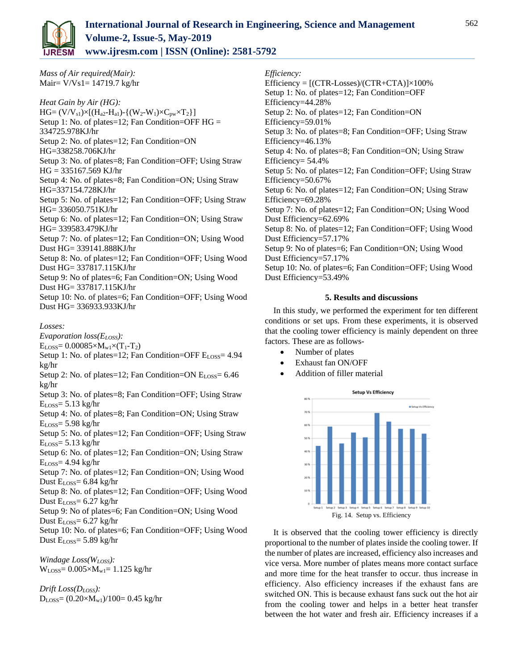

*Mass of Air required(Mair):* Mair= V/Vs1= 14719.7 kg/hr

*Heat Gain by Air (HG):*  $HG = (V/V_{s1}) \times [(H_{a2}-H_{a1}) - {(W_2-W_1) \times C_{pw} \times T_2}]$ Setup 1: No. of plates=12; Fan Condition=OFF  $HG =$ 334725.978KJ/hr Setup 2: No. of plates=12; Fan Condition=ON HG=338258.706KJ/hr Setup 3: No. of plates=8; Fan Condition=OFF; Using Straw HG = 335167.569 KJ/hr Setup 4: No. of plates=8; Fan Condition=ON; Using Straw HG=337154.728KJ/hr Setup 5: No. of plates=12; Fan Condition=OFF; Using Straw HG= 336050.751KJ/hr Setup 6: No. of plates=12; Fan Condition=ON; Using Straw HG= 339583.479KJ/hr Setup 7: No. of plates=12; Fan Condition=ON; Using Wood Dust HG= 339141.888KJ/hr Setup 8: No. of plates=12; Fan Condition=OFF; Using Wood Dust HG= 337817.115KJ/hr Setup 9: No of plates=6; Fan Condition=ON; Using Wood Dust HG= 337817.115KJ/hr Setup 10: No. of plates=6; Fan Condition=OFF; Using Wood Dust HG= 336933.933KJ/hr

# *Losses:*

*Evaporation loss(ELOSS):*

 $E_{LOS} = 0.00085 \times M_{w1} \times (T_1 - T_2)$ 

Setup 1: No. of plates=12; Fan Condition=OFF E<sub>LOSS</sub>= 4.94 kg/hr

Setup 2: No. of plates=12; Fan Condition=ON  $E_{LOS} = 6.46$ kg/hr

Setup 3: No. of plates=8; Fan Condition=OFF; Using Straw  $E<sub>Loss</sub> = 5.13 kg/hr$ 

Setup 4: No. of plates=8; Fan Condition=ON; Using Straw  $E<sub>Loss</sub> = 5.98$  kg/hr

- Setup 5: No. of plates=12; Fan Condition=OFF; Using Straw  $E_{\text{LOSS}}$ = 5.13 kg/hr
- Setup 6: No. of plates=12; Fan Condition=ON; Using Straw  $E<sub>Loss</sub> = 4.94$  kg/hr

Setup 7: No. of plates=12; Fan Condition=ON; Using Wood Dust  $E_{\text{LOS}}= 6.84 \text{ kg/hr}$ 

Setup 8: No. of plates=12; Fan Condition=OFF; Using Wood Dust ELOSS= 6.27 kg/hr

Setup 9: No of plates=6; Fan Condition=ON; Using Wood Dust ELOSS= 6.27 kg/hr

Setup 10: No. of plates=6; Fan Condition=OFF; Using Wood Dust ELOSS= 5.89 kg/hr

*Windage Loss(WLOSS):*  $W_{LOS} = 0.005 \times M_{w1} = 1.125$  kg/hr

*Drift Loss(DLOSS):*  $D_{\text{LOSS}} = (0.20 \times M_{\text{w1}})/100 = 0.45 \text{ kg/hr}$  *Efficiency:*

Efficiency =  $[(CTR\text{-}Losses)/(CTR\text{-}CTA)] \times 100\%$ Setup 1: No. of plates=12; Fan Condition=OFF Efficiency=44.28% Setup 2: No. of plates=12; Fan Condition=ON Efficiency=59.01% Setup 3: No. of plates=8; Fan Condition=OFF; Using Straw Efficiency=46.13% Setup 4: No. of plates=8; Fan Condition=ON; Using Straw Efficiency= 54.4% Setup 5: No. of plates=12; Fan Condition=OFF; Using Straw Efficiency=50.67% Setup 6: No. of plates=12; Fan Condition=ON; Using Straw Efficiency=69.28% Setup 7: No. of plates=12; Fan Condition=ON; Using Wood Dust Efficiency=62.69% Setup 8: No. of plates=12; Fan Condition=OFF; Using Wood Dust Efficiency=57.17% Setup 9: No of plates=6; Fan Condition=ON; Using Wood Dust Efficiency=57.17% Setup 10: No. of plates=6; Fan Condition=OFF; Using Wood Dust Efficiency=53.49%

# **5. Results and discussions**

In this study, we performed the experiment for ten different conditions or set ups. From these experiments, it is observed that the cooling tower efficiency is mainly dependent on three factors. These are as follows-

- Number of plates
- Exhaust fan ON/OFF
- Addition of filler material



It is observed that the cooling tower efficiency is directly proportional to the number of plates inside the cooling tower. If the number of plates are increased, efficiency also increases and vice versa. More number of plates means more contact surface and more time for the heat transfer to occur. thus increase in efficiency. Also efficiency increases if the exhaust fans are switched ON. This is because exhaust fans suck out the hot air from the cooling tower and helps in a better heat transfer between the hot water and fresh air. Efficiency increases if a